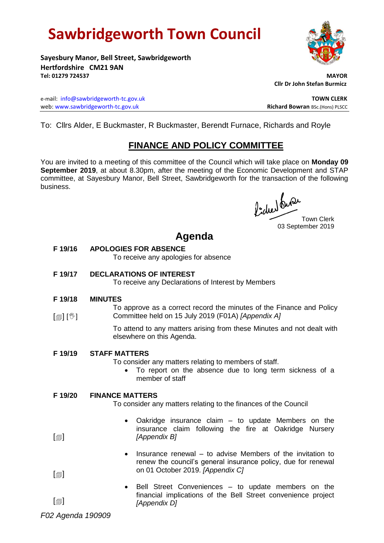# **Sawbridgeworth Town Council**

**Sayesbury Manor, Bell Street, Sawbridgeworth Hertfordshire CM21 9AN Tel: 01279 724537 MAYOR**

 **Cllr Dr John Stefan Burmicz**

e-mail: [info@sawbridgeworth-tc.gov.uk](mailto:info@sawbridgeworth-tc.gov.uk) **TOWN CLERK** web: www.sawbridgeworth-tc.gov.uk<br> **Richard Bowran** BSc.(Hons) PLSCC

To: Cllrs Alder, E Buckmaster, R Buckmaster, Berendt Furnace, Richards and Royle

### **FINANCE AND POLICY COMMITTEE**

You are invited to a meeting of this committee of the Council which will take place on **Monday 09 September 2019**, at about 8.30pm, after the meeting of the Economic Development and STAP committee, at Sayesbury Manor, Bell Street, Sawbridgeworth for the transaction of the following business.

Picked Que

Town Clerk 03 September 2019

## **Agenda**

**F 19/16 APOLOGIES FOR ABSENCE**

To receive any apologies for absence

#### **F 19/17 DECLARATIONS OF INTEREST**

To receive any Declarations of Interest by Members

- **F 19/18 MINUTES**
- [@] [V] To approve as a correct record the minutes of the Finance and Policy Committee held on 15 July 2019 (F01A) *[Appendix A]*

To attend to any matters arising from these Minutes and not dealt with elsewhere on this Agenda.

#### **F 19/19 STAFF MATTERS**

To consider any matters relating to members of staff.

 To report on the absence due to long term sickness of a member of staff

#### **F 19/20 FINANCE MATTERS**

To consider any matters relating to the finances of the Council

- Oakridge insurance claim to update Members on the insurance claim following the fire at Oakridge Nursery *[Appendix B]*
- $\bullet$  Insurance renewal to advise Members of the invitation to renew the council's general insurance policy, due for renewal on 01 October 2019. *[Appendix C]*
- Bell Street Conveniences to update members on the financial implications of the Bell Street convenience project *[Appendix D]*

*F02 Agenda 190909*

 $\lceil$ 

 $\lceil$  $\blacksquare$ 

 $\lceil$  $\blacksquare$